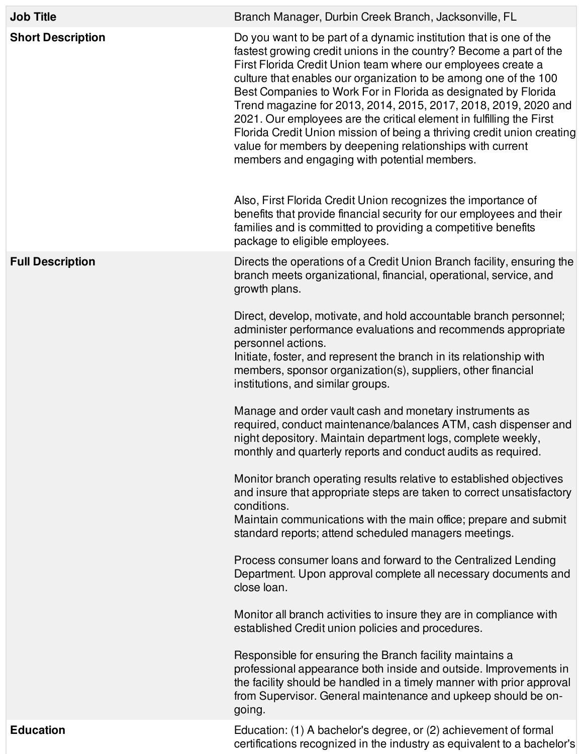| <b>Job Title</b>         | Branch Manager, Durbin Creek Branch, Jacksonville, FL                                                                                                                                                                                                                                                                                                                                                                                                                                                                                                                                                                                                                                                                                                                                                                                                                                                                        |
|--------------------------|------------------------------------------------------------------------------------------------------------------------------------------------------------------------------------------------------------------------------------------------------------------------------------------------------------------------------------------------------------------------------------------------------------------------------------------------------------------------------------------------------------------------------------------------------------------------------------------------------------------------------------------------------------------------------------------------------------------------------------------------------------------------------------------------------------------------------------------------------------------------------------------------------------------------------|
| <b>Short Description</b> | Do you want to be part of a dynamic institution that is one of the<br>fastest growing credit unions in the country? Become a part of the<br>First Florida Credit Union team where our employees create a<br>culture that enables our organization to be among one of the 100<br>Best Companies to Work For in Florida as designated by Florida<br>Trend magazine for 2013, 2014, 2015, 2017, 2018, 2019, 2020 and<br>2021. Our employees are the critical element in fulfilling the First<br>Florida Credit Union mission of being a thriving credit union creating<br>value for members by deepening relationships with current<br>members and engaging with potential members.<br>Also, First Florida Credit Union recognizes the importance of<br>benefits that provide financial security for our employees and their<br>families and is committed to providing a competitive benefits<br>package to eligible employees. |
| <b>Full Description</b>  | Directs the operations of a Credit Union Branch facility, ensuring the<br>branch meets organizational, financial, operational, service, and<br>growth plans.                                                                                                                                                                                                                                                                                                                                                                                                                                                                                                                                                                                                                                                                                                                                                                 |
|                          | Direct, develop, motivate, and hold accountable branch personnel;<br>administer performance evaluations and recommends appropriate<br>personnel actions.<br>Initiate, foster, and represent the branch in its relationship with<br>members, sponsor organization(s), suppliers, other financial<br>institutions, and similar groups.                                                                                                                                                                                                                                                                                                                                                                                                                                                                                                                                                                                         |
|                          | Manage and order vault cash and monetary instruments as<br>required, conduct maintenance/balances ATM, cash dispenser and<br>night depository. Maintain department logs, complete weekly,<br>monthly and quarterly reports and conduct audits as required.                                                                                                                                                                                                                                                                                                                                                                                                                                                                                                                                                                                                                                                                   |
|                          | Monitor branch operating results relative to established objectives<br>and insure that appropriate steps are taken to correct unsatisfactory<br>conditions.<br>Maintain communications with the main office; prepare and submit<br>standard reports; attend scheduled managers meetings.                                                                                                                                                                                                                                                                                                                                                                                                                                                                                                                                                                                                                                     |
|                          | Process consumer loans and forward to the Centralized Lending<br>Department. Upon approval complete all necessary documents and<br>close loan.                                                                                                                                                                                                                                                                                                                                                                                                                                                                                                                                                                                                                                                                                                                                                                               |
|                          | Monitor all branch activities to insure they are in compliance with<br>established Credit union policies and procedures.                                                                                                                                                                                                                                                                                                                                                                                                                                                                                                                                                                                                                                                                                                                                                                                                     |
|                          | Responsible for ensuring the Branch facility maintains a<br>professional appearance both inside and outside. Improvements in<br>the facility should be handled in a timely manner with prior approval<br>from Supervisor. General maintenance and upkeep should be on-<br>going.                                                                                                                                                                                                                                                                                                                                                                                                                                                                                                                                                                                                                                             |
| <b>Education</b>         | Education: (1) A bachelor's degree, or (2) achievement of formal<br>certifications recognized in the industry as equivalent to a bachelor's                                                                                                                                                                                                                                                                                                                                                                                                                                                                                                                                                                                                                                                                                                                                                                                  |